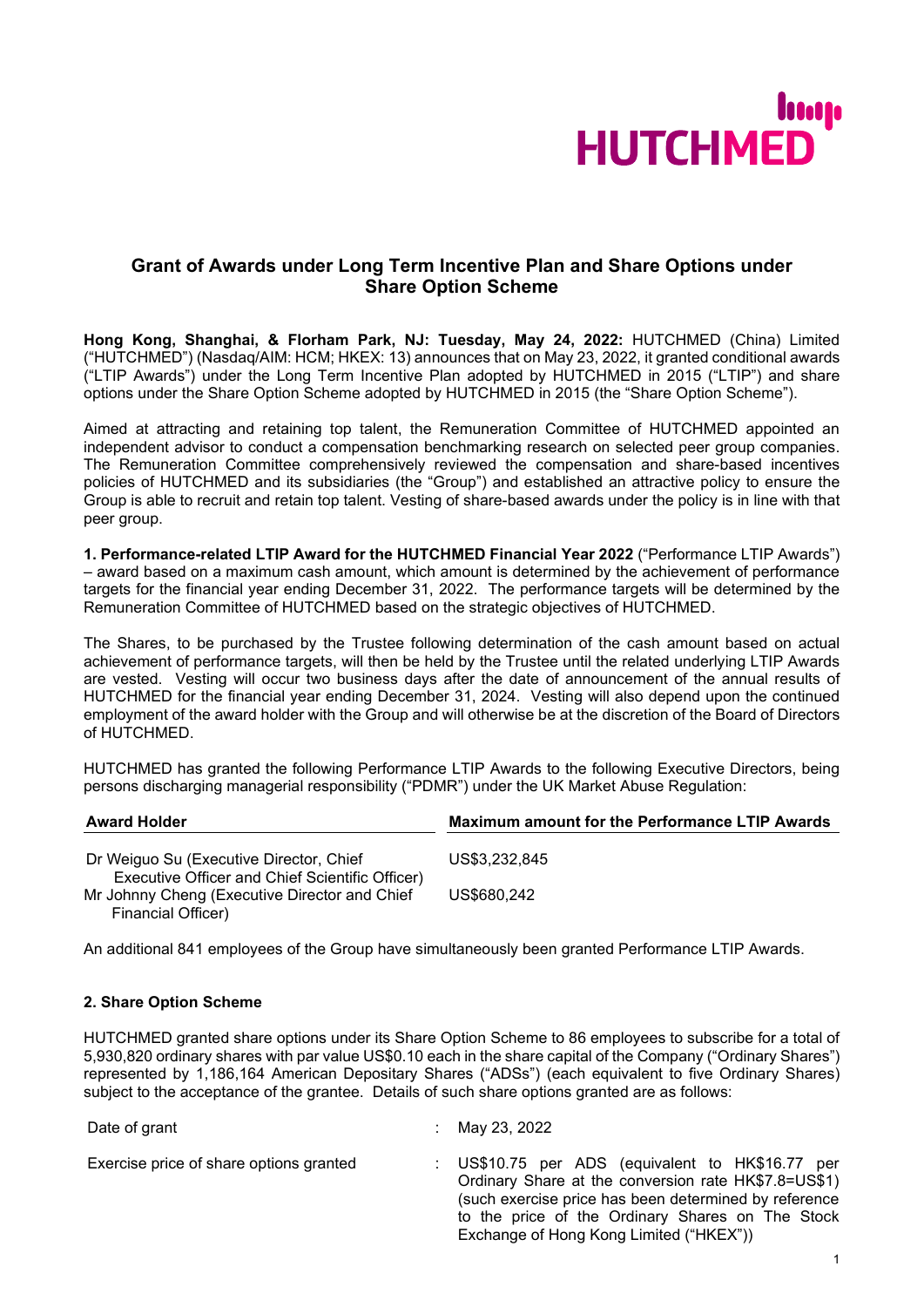

# **Grant of Awards under Long Term Incentive Plan and Share Options under Share Option Scheme**

**Hong Kong, Shanghai, & Florham Park, NJ: Tuesday, May 24, 2022:** HUTCHMED (China) Limited ("HUTCHMED") (Nasdaq/AIM: HCM; HKEX: 13) announces that on May 23, 2022, it granted conditional awards ("LTIP Awards") under the Long Term Incentive Plan adopted by HUTCHMED in 2015 ("LTIP") and share options under the Share Option Scheme adopted by HUTCHMED in 2015 (the "Share Option Scheme").

Aimed at attracting and retaining top talent, the Remuneration Committee of HUTCHMED appointed an independent advisor to conduct a compensation benchmarking research on selected peer group companies. The Remuneration Committee comprehensively reviewed the compensation and share-based incentives policies of HUTCHMED and its subsidiaries (the "Group") and established an attractive policy to ensure the Group is able to recruit and retain top talent. Vesting of share-based awards under the policy is in line with that peer group.

**1. Performance-related LTIP Award for the HUTCHMED Financial Year 2022** ("Performance LTIP Awards") – award based on a maximum cash amount, which amount is determined by the achievement of performance targets for the financial year ending December 31, 2022. The performance targets will be determined by the Remuneration Committee of HUTCHMED based on the strategic objectives of HUTCHMED.

The Shares, to be purchased by the Trustee following determination of the cash amount based on actual achievement of performance targets, will then be held by the Trustee until the related underlying LTIP Awards are vested. Vesting will occur two business days after the date of announcement of the annual results of HUTCHMED for the financial year ending December 31, 2024. Vesting will also depend upon the continued employment of the award holder with the Group and will otherwise be at the discretion of the Board of Directors of HUTCHMED.

HUTCHMED has granted the following Performance LTIP Awards to the following Executive Directors, being persons discharging managerial responsibility ("PDMR") under the UK Market Abuse Regulation:

| <b>Award Holder</b>                                                 | <b>Maximum amount for the Performance LTIP Awards</b> |  |
|---------------------------------------------------------------------|-------------------------------------------------------|--|
| Dr Weiguo Su (Executive Director, Chief                             | US\$3.232.845                                         |  |
| Executive Officer and Chief Scientific Officer)                     |                                                       |  |
| Mr Johnny Cheng (Executive Director and Chief<br>Financial Officer) | US\$680,242                                           |  |

An additional 841 employees of the Group have simultaneously been granted Performance LTIP Awards.

## **2. Share Option Scheme**

HUTCHMED granted share options under its Share Option Scheme to 86 employees to subscribe for a total of 5,930,820 ordinary shares with par value US\$0.10 each in the share capital of the Company ("Ordinary Shares") represented by 1,186,164 American Depositary Shares ("ADSs") (each equivalent to five Ordinary Shares) subject to the acceptance of the grantee. Details of such share options granted are as follows:

| Date of grant                           | May 23, 2022                                                                                                                                                                                                                                                     |
|-----------------------------------------|------------------------------------------------------------------------------------------------------------------------------------------------------------------------------------------------------------------------------------------------------------------|
| Exercise price of share options granted | : US\$10.75 per ADS (equivalent to HK\$16.77 per<br>Ordinary Share at the conversion rate HK\$7.8=US\$1)<br>(such exercise price has been determined by reference<br>to the price of the Ordinary Shares on The Stock<br>Exchange of Hong Kong Limited ("HKEX")) |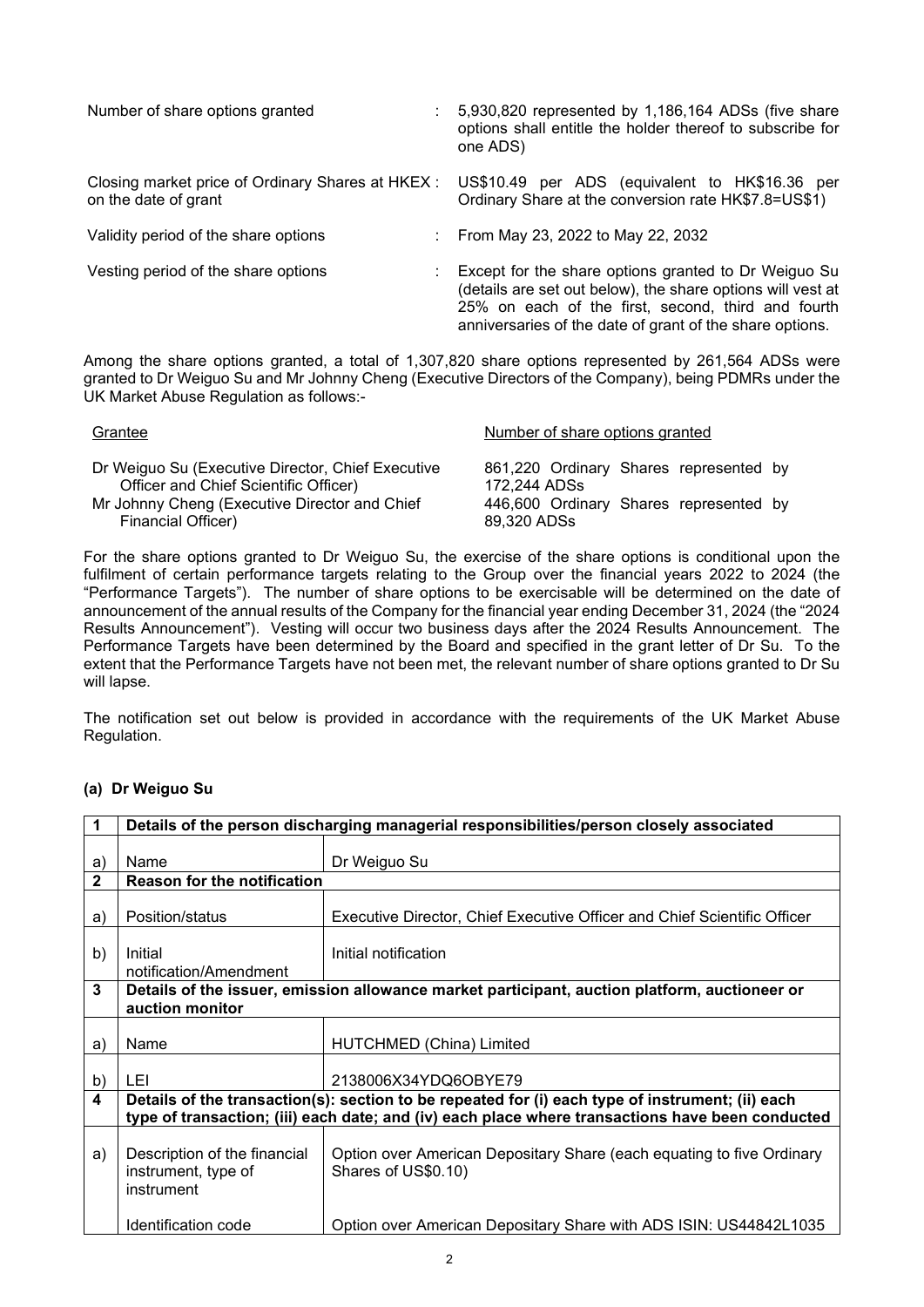| Number of share options granted                                           | 5,930,820 represented by 1,186,164 ADSs (five share<br>options shall entitle the holder thereof to subscribe for<br>one ADS)                                                                                                          |
|---------------------------------------------------------------------------|---------------------------------------------------------------------------------------------------------------------------------------------------------------------------------------------------------------------------------------|
| Closing market price of Ordinary Shares at HKEX :<br>on the date of grant | US\$10.49 per ADS (equivalent to HK\$16.36 per<br>Ordinary Share at the conversion rate HK\$7.8=US\$1)                                                                                                                                |
| Validity period of the share options                                      | From May 23, 2022 to May 22, 2032                                                                                                                                                                                                     |
| Vesting period of the share options<br>÷                                  | Except for the share options granted to Dr Weiguo Su<br>(details are set out below), the share options will vest at<br>25% on each of the first, second, third and fourth<br>anniversaries of the date of grant of the share options. |

Among the share options granted, a total of 1,307,820 share options represented by 261,564 ADSs were granted to Dr Weiguo Su and Mr Johnny Cheng (Executive Directors of the Company), being PDMRs under the UK Market Abuse Regulation as follows:-

| Grantee                                           | Number of share options granted        |
|---------------------------------------------------|----------------------------------------|
| Dr Weiguo Su (Executive Director, Chief Executive | 861,220 Ordinary Shares represented by |
| Officer and Chief Scientific Officer)             | 172,244 ADSs                           |
| Mr Johnny Cheng (Executive Director and Chief     | 446,600 Ordinary Shares represented by |
| Financial Officer)                                | 89,320 ADSs                            |

For the share options granted to Dr Weiguo Su, the exercise of the share options is conditional upon the fulfilment of certain performance targets relating to the Group over the financial years 2022 to 2024 (the "Performance Targets"). The number of share options to be exercisable will be determined on the date of announcement of the annual results of the Company for the financial year ending December 31, 2024 (the "2024 Results Announcement"). Vesting will occur two business days after the 2024 Results Announcement. The Performance Targets have been determined by the Board and specified in the grant letter of Dr Su. To the extent that the Performance Targets have not been met, the relevant number of share options granted to Dr Su will lapse.

The notification set out below is provided in accordance with the requirements of the UK Market Abuse Regulation.

# **(a) Dr Weiguo Su**

|                         | Details of the person discharging managerial responsibilities/person closely associated                                                                                                              |                                                                                              |  |
|-------------------------|------------------------------------------------------------------------------------------------------------------------------------------------------------------------------------------------------|----------------------------------------------------------------------------------------------|--|
|                         |                                                                                                                                                                                                      |                                                                                              |  |
| a)                      | Name                                                                                                                                                                                                 | Dr Weiguo Su                                                                                 |  |
| $\mathbf{2}$            | Reason for the notification                                                                                                                                                                          |                                                                                              |  |
| a)                      | Position/status                                                                                                                                                                                      | Executive Director, Chief Executive Officer and Chief Scientific Officer                     |  |
| b)                      | Initial<br>notification/Amendment                                                                                                                                                                    | Initial notification                                                                         |  |
| 3                       | Details of the issuer, emission allowance market participant, auction platform, auctioneer or<br>auction monitor                                                                                     |                                                                                              |  |
| a)                      | Name                                                                                                                                                                                                 | HUTCHMED (China) Limited                                                                     |  |
| b)                      | LEI                                                                                                                                                                                                  | 2138006X34YDQ6OBYE79                                                                         |  |
| $\overline{\mathbf{4}}$ | Details of the transaction(s): section to be repeated for (i) each type of instrument; (ii) each<br>type of transaction; (iii) each date; and (iv) each place where transactions have been conducted |                                                                                              |  |
| a)                      | Description of the financial<br>instrument, type of<br>instrument                                                                                                                                    | Option over American Depositary Share (each equating to five Ordinary<br>Shares of US\$0.10) |  |
|                         | Identification code                                                                                                                                                                                  | Option over American Depositary Share with ADS ISIN: US44842L1035                            |  |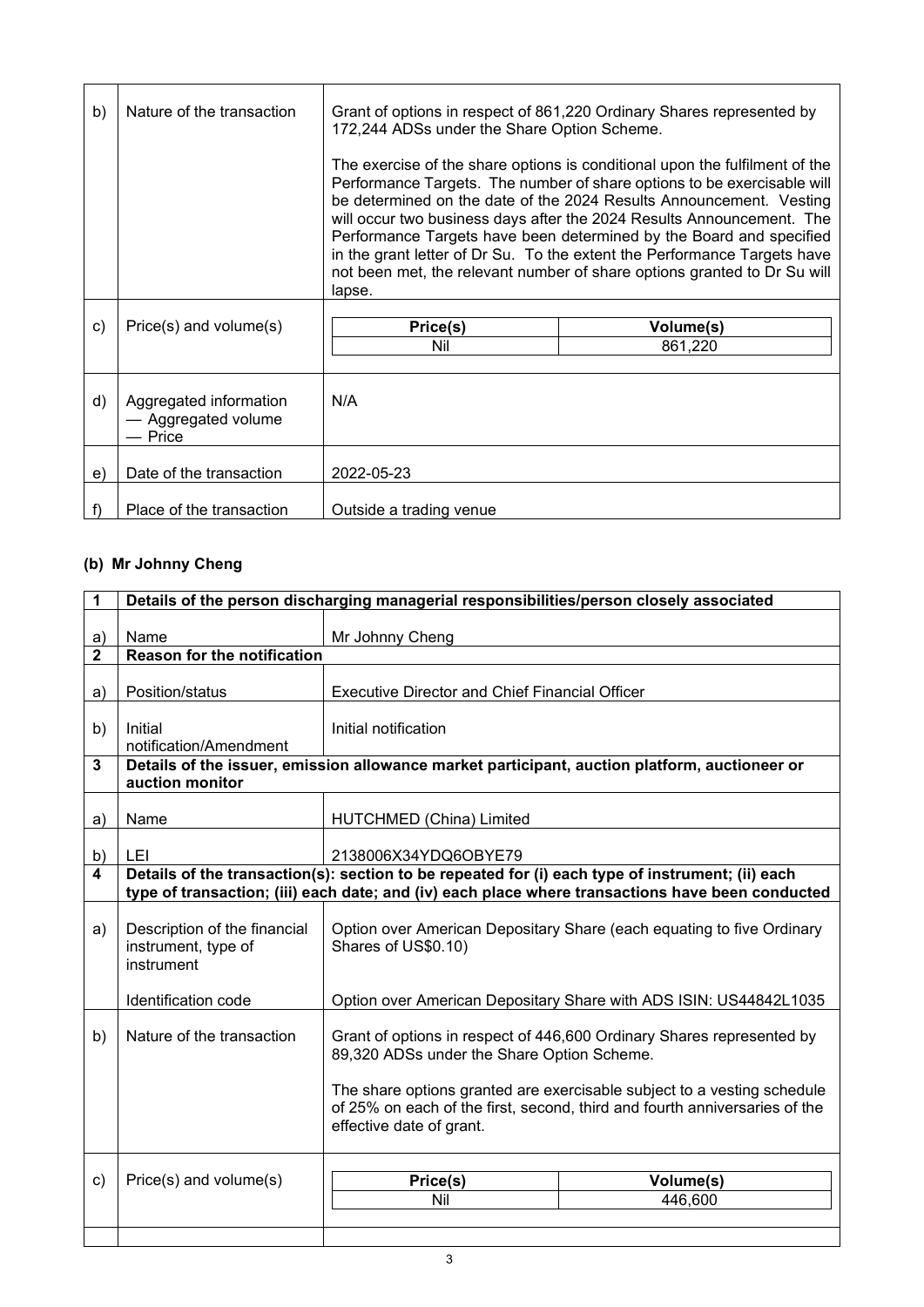| b)           | Nature of the transaction                                | Grant of options in respect of 861,220 Ordinary Shares represented by<br>172,244 ADSs under the Share Option Scheme.                                                                                                                                                                                                                                                                                                                                                                                                                            |           |
|--------------|----------------------------------------------------------|-------------------------------------------------------------------------------------------------------------------------------------------------------------------------------------------------------------------------------------------------------------------------------------------------------------------------------------------------------------------------------------------------------------------------------------------------------------------------------------------------------------------------------------------------|-----------|
|              |                                                          | The exercise of the share options is conditional upon the fulfilment of the<br>Performance Targets. The number of share options to be exercisable will<br>be determined on the date of the 2024 Results Announcement. Vesting<br>will occur two business days after the 2024 Results Announcement. The<br>Performance Targets have been determined by the Board and specified<br>in the grant letter of Dr Su. To the extent the Performance Targets have<br>not been met, the relevant number of share options granted to Dr Su will<br>lapse. |           |
| $\mathsf{c}$ | Price(s) and volume(s)                                   | Price(s)                                                                                                                                                                                                                                                                                                                                                                                                                                                                                                                                        | Volume(s) |
|              |                                                          | Nil                                                                                                                                                                                                                                                                                                                                                                                                                                                                                                                                             | 861,220   |
| d)           | Aggregated information<br>- Aggregated volume<br>- Price | N/A                                                                                                                                                                                                                                                                                                                                                                                                                                                                                                                                             |           |
| e)           | Date of the transaction                                  | 2022-05-23                                                                                                                                                                                                                                                                                                                                                                                                                                                                                                                                      |           |
|              | Place of the transaction                                 | Outside a trading venue                                                                                                                                                                                                                                                                                                                                                                                                                                                                                                                         |           |

# **(b) Mr Johnny Cheng**

| 1                  | Details of the person discharging managerial responsibilities/person closely associated                                                                                                              |                                                                                                                                                                                                                                                                                                          |           |  |
|--------------------|------------------------------------------------------------------------------------------------------------------------------------------------------------------------------------------------------|----------------------------------------------------------------------------------------------------------------------------------------------------------------------------------------------------------------------------------------------------------------------------------------------------------|-----------|--|
|                    |                                                                                                                                                                                                      |                                                                                                                                                                                                                                                                                                          |           |  |
| a)<br>$\mathbf{2}$ | Name<br><b>Reason for the notification</b>                                                                                                                                                           | Mr Johnny Cheng                                                                                                                                                                                                                                                                                          |           |  |
|                    |                                                                                                                                                                                                      |                                                                                                                                                                                                                                                                                                          |           |  |
| a)                 | Position/status                                                                                                                                                                                      | <b>Executive Director and Chief Financial Officer</b>                                                                                                                                                                                                                                                    |           |  |
| b)                 | Initial<br>notification/Amendment                                                                                                                                                                    | Initial notification                                                                                                                                                                                                                                                                                     |           |  |
| $\mathbf{3}$       | Details of the issuer, emission allowance market participant, auction platform, auctioneer or<br>auction monitor                                                                                     |                                                                                                                                                                                                                                                                                                          |           |  |
| a)                 | Name                                                                                                                                                                                                 | HUTCHMED (China) Limited                                                                                                                                                                                                                                                                                 |           |  |
| b)                 | LEI                                                                                                                                                                                                  | 2138006X34YDQ6OBYE79                                                                                                                                                                                                                                                                                     |           |  |
| $\blacktriangle$   | Details of the transaction(s): section to be repeated for (i) each type of instrument; (ii) each<br>type of transaction; (iii) each date; and (iv) each place where transactions have been conducted |                                                                                                                                                                                                                                                                                                          |           |  |
| a)                 | Description of the financial<br>instrument, type of<br>instrument                                                                                                                                    | Option over American Depositary Share (each equating to five Ordinary<br>Shares of US\$0.10)                                                                                                                                                                                                             |           |  |
|                    | Identification code                                                                                                                                                                                  | Option over American Depositary Share with ADS ISIN: US44842L1035                                                                                                                                                                                                                                        |           |  |
| b)                 | Nature of the transaction                                                                                                                                                                            | Grant of options in respect of 446,600 Ordinary Shares represented by<br>89,320 ADSs under the Share Option Scheme.<br>The share options granted are exercisable subject to a vesting schedule<br>of 25% on each of the first, second, third and fourth anniversaries of the<br>effective date of grant. |           |  |
| c)                 | Price(s) and volume(s)                                                                                                                                                                               | Price(s)                                                                                                                                                                                                                                                                                                 | Volume(s) |  |
|                    |                                                                                                                                                                                                      | Nil                                                                                                                                                                                                                                                                                                      | 446,600   |  |
|                    |                                                                                                                                                                                                      |                                                                                                                                                                                                                                                                                                          |           |  |